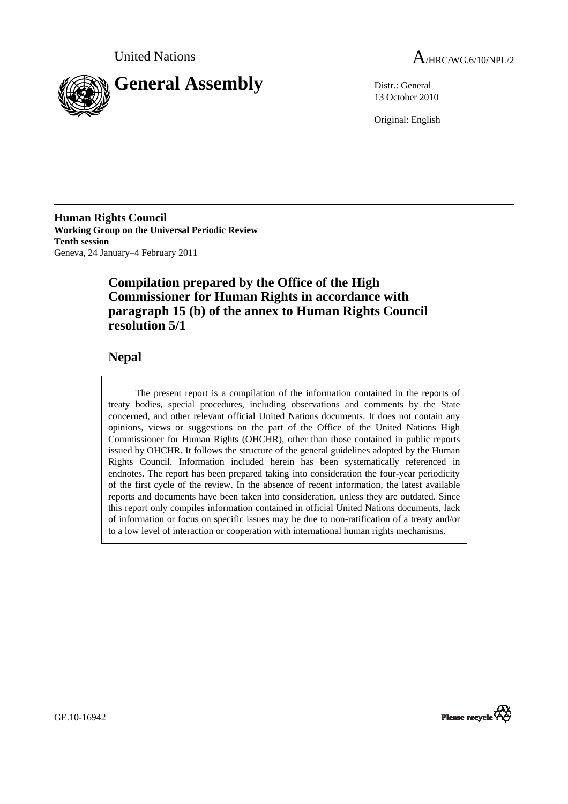



13 October 2010

Original: English

**Human Rights Council Working Group on the Universal Periodic Review Tenth session**  Geneva, 24 January–4 February 2011

# **Compilation prepared by the Office of the High Commissioner for Human Rights in accordance with paragraph 15 (b) of the annex to Human Rights Council resolution 5/1**

# **Nepal**

 The present report is a compilation of the information contained in the reports of treaty bodies, special procedures, including observations and comments by the State concerned, and other relevant official United Nations documents. It does not contain any opinions, views or suggestions on the part of the Office of the United Nations High Commissioner for Human Rights (OHCHR), other than those contained in public reports issued by OHCHR. It follows the structure of the general guidelines adopted by the Human Rights Council. Information included herein has been systematically referenced in endnotes. The report has been prepared taking into consideration the four-year periodicity of the first cycle of the review. In the absence of recent information, the latest available reports and documents have been taken into consideration, unless they are outdated. Since this report only compiles information contained in official United Nations documents, lack of information or focus on specific issues may be due to non-ratification of a treaty and/or to a low level of interaction or cooperation with international human rights mechanisms.

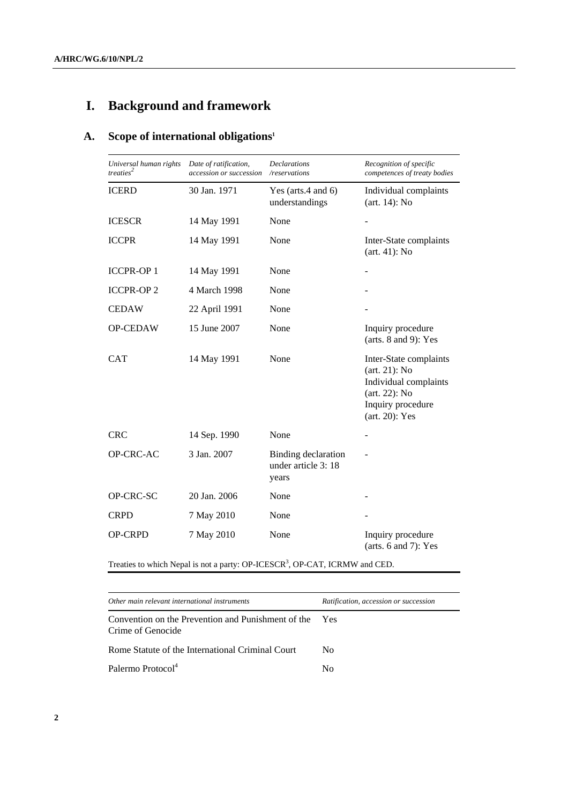# **I. Background and framework**

# **A. Scope of international obligations1**

| Universal human rights<br>treaties <sup>2</sup> | Date of ratification,<br>accession or succession | <b>Declarations</b><br>/reservations                | Recognition of specific<br>competences of treaty bodies                                                                           |
|-------------------------------------------------|--------------------------------------------------|-----------------------------------------------------|-----------------------------------------------------------------------------------------------------------------------------------|
| <b>ICERD</b>                                    | 30 Jan. 1971                                     | Yes (arts.4 and $6$ )<br>understandings             | Individual complaints<br>$(art. 14)$ : No                                                                                         |
| <b>ICESCR</b>                                   | 14 May 1991                                      | None                                                |                                                                                                                                   |
| <b>ICCPR</b>                                    | 14 May 1991                                      | None                                                | Inter-State complaints<br>$(art. 41)$ : No                                                                                        |
| <b>ICCPR-OP1</b>                                | 14 May 1991                                      | None                                                |                                                                                                                                   |
| <b>ICCPR-OP2</b>                                | 4 March 1998                                     | None                                                |                                                                                                                                   |
| <b>CEDAW</b>                                    | 22 April 1991                                    | None                                                |                                                                                                                                   |
| OP-CEDAW                                        | 15 June 2007                                     | None                                                | Inquiry procedure<br>(arts. $8$ and $9$ ): Yes                                                                                    |
| <b>CAT</b>                                      | 14 May 1991                                      | None                                                | Inter-State complaints<br>$(art. 21)$ : No<br>Individual complaints<br>$(art. 22)$ : No<br>Inquiry procedure<br>$(art. 20)$ : Yes |
| <b>CRC</b>                                      | 14 Sep. 1990                                     | None                                                |                                                                                                                                   |
| 3 Jan. 2007<br>OP-CRC-AC                        |                                                  | Binding declaration<br>under article 3: 18<br>years |                                                                                                                                   |
| OP-CRC-SC                                       | 20 Jan. 2006                                     | None                                                |                                                                                                                                   |
| <b>CRPD</b>                                     | 7 May 2010                                       | None                                                |                                                                                                                                   |
| <b>OP-CRPD</b>                                  | 7 May 2010                                       | None                                                | Inquiry procedure<br>(arts. $6$ and $7$ ): Yes                                                                                    |

Treaties to which Nepal is not a party: OP-ICESCR<sup>3</sup>, OP-CAT, ICRMW and CED.

| Other main relevant international instruments                           | Ratification, accession or succession |
|-------------------------------------------------------------------------|---------------------------------------|
| Convention on the Prevention and Punishment of the<br>Crime of Genocide | Yes                                   |
| Rome Statute of the International Criminal Court                        | No.                                   |
| Palermo Protocol <sup>4</sup>                                           | Nο                                    |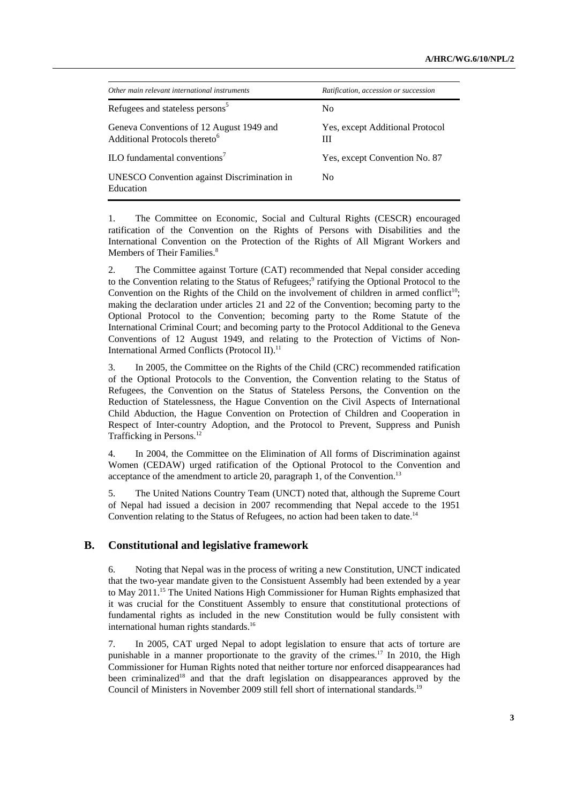| Other main relevant international instruments                                         | Ratification, accession or succession |
|---------------------------------------------------------------------------------------|---------------------------------------|
| Refugees and stateless persons <sup>5</sup>                                           | N <sub>0</sub>                        |
| Geneva Conventions of 12 August 1949 and<br>Additional Protocols thereto <sup>6</sup> | Yes, except Additional Protocol<br>Ш  |
| ILO fundamental conventions <sup>7</sup>                                              | Yes, except Convention No. 87         |
| UNESCO Convention against Discrimination in<br>Education                              | N <sub>0</sub>                        |

1. The Committee on Economic, Social and Cultural Rights (CESCR) encouraged ratification of the Convention on the Rights of Persons with Disabilities and the International Convention on the Protection of the Rights of All Migrant Workers and Members of Their Families.<sup>8</sup>

2. The Committee against Torture (CAT) recommended that Nepal consider acceding to the Convention relating to the Status of Refugees;<sup>9</sup> ratifying the Optional Protocol to the Convention on the Rights of the Child on the involvement of children in armed conflict<sup>10</sup>; making the declaration under articles 21 and 22 of the Convention; becoming party to the Optional Protocol to the Convention; becoming party to the Rome Statute of the International Criminal Court; and becoming party to the Protocol Additional to the Geneva Conventions of 12 August 1949, and relating to the Protection of Victims of Non-International Armed Conflicts (Protocol II).<sup>11</sup>

3. In 2005, the Committee on the Rights of the Child (CRC) recommended ratification of the Optional Protocols to the Convention, the Convention relating to the Status of Refugees, the Convention on the Status of Stateless Persons, the Convention on the Reduction of Statelessness, the Hague Convention on the Civil Aspects of International Child Abduction, the Hague Convention on Protection of Children and Cooperation in Respect of Inter-country Adoption, and the Protocol to Prevent, Suppress and Punish Trafficking in Persons.<sup>12</sup>

4. In 2004, the Committee on the Elimination of All forms of Discrimination against Women (CEDAW) urged ratification of the Optional Protocol to the Convention and acceptance of the amendment to article 20, paragraph 1, of the Convention.<sup>13</sup>

5. The United Nations Country Team (UNCT) noted that, although the Supreme Court of Nepal had issued a decision in 2007 recommending that Nepal accede to the 1951 Convention relating to the Status of Refugees, no action had been taken to date.<sup>14</sup>

#### **B. Constitutional and legislative framework**

6. Noting that Nepal was in the process of writing a new Constitution, UNCT indicated that the two-year mandate given to the Consistuent Assembly had been extended by a year to May 2011.<sup>15</sup> The United Nations High Commissioner for Human Rights emphasized that it was crucial for the Constituent Assembly to ensure that constitutional protections of fundamental rights as included in the new Constitution would be fully consistent with international human rights standards.<sup>16</sup>

7. In 2005, CAT urged Nepal to adopt legislation to ensure that acts of torture are punishable in a manner proportionate to the gravity of the crimes.<sup>17</sup> In 2010, the High Commissioner for Human Rights noted that neither torture nor enforced disappearances had been criminalized<sup>18</sup> and that the draft legislation on disappearances approved by the Council of Ministers in November 2009 still fell short of international standards.<sup>19</sup>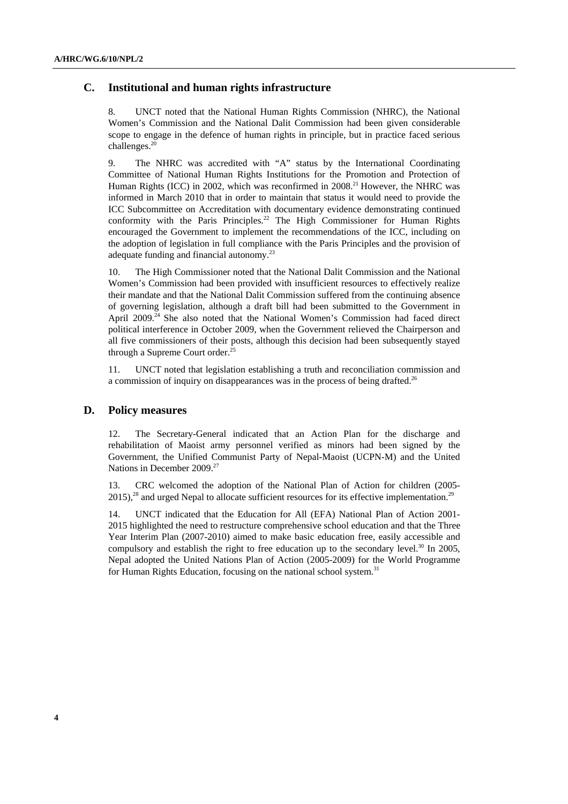### **C. Institutional and human rights infrastructure**

8. UNCT noted that the National Human Rights Commission (NHRC), the National Women's Commission and the National Dalit Commission had been given considerable scope to engage in the defence of human rights in principle, but in practice faced serious challenges.<sup>20</sup>

9. The NHRC was accredited with "A" status by the International Coordinating Committee of National Human Rights Institutions for the Promotion and Protection of Human Rights (ICC) in 2002, which was reconfirmed in  $2008<sup>21</sup>$  However, the NHRC was informed in March 2010 that in order to maintain that status it would need to provide the ICC Subcommittee on Accreditation with documentary evidence demonstrating continued conformity with the Paris Principles.<sup>22</sup> The High Commissioner for Human Rights encouraged the Government to implement the recommendations of the ICC, including on the adoption of legislation in full compliance with the Paris Principles and the provision of adequate funding and financial autonomy.<sup>23</sup>

10. The High Commissioner noted that the National Dalit Commission and the National Women's Commission had been provided with insufficient resources to effectively realize their mandate and that the National Dalit Commission suffered from the continuing absence of governing legislation, although a draft bill had been submitted to the Government in April 2009.<sup>24</sup> She also noted that the National Women's Commission had faced direct political interference in October 2009, when the Government relieved the Chairperson and all five commissioners of their posts, although this decision had been subsequently stayed through a Supreme Court order.<sup>25</sup>

11. UNCT noted that legislation establishing a truth and reconciliation commission and a commission of inquiry on disappearances was in the process of being drafted.<sup>26</sup>

#### **D. Policy measures**

12. The Secretary-General indicated that an Action Plan for the discharge and rehabilitation of Maoist army personnel verified as minors had been signed by the Government, the Unified Communist Party of Nepal-Maoist (UCPN-M) and the United Nations in December 2009.<sup>27</sup>

13. CRC welcomed the adoption of the National Plan of Action for children (2005-  $2015$ ,<sup>28</sup> and urged Nepal to allocate sufficient resources for its effective implementation.<sup>29</sup>

14. UNCT indicated that the Education for All (EFA) National Plan of Action 2001- 2015 highlighted the need to restructure comprehensive school education and that the Three Year Interim Plan (2007-2010) aimed to make basic education free, easily accessible and compulsory and establish the right to free education up to the secondary level.<sup>30</sup> In 2005, Nepal adopted the United Nations Plan of Action (2005-2009) for the World Programme for Human Rights Education, focusing on the national school system.<sup>31</sup>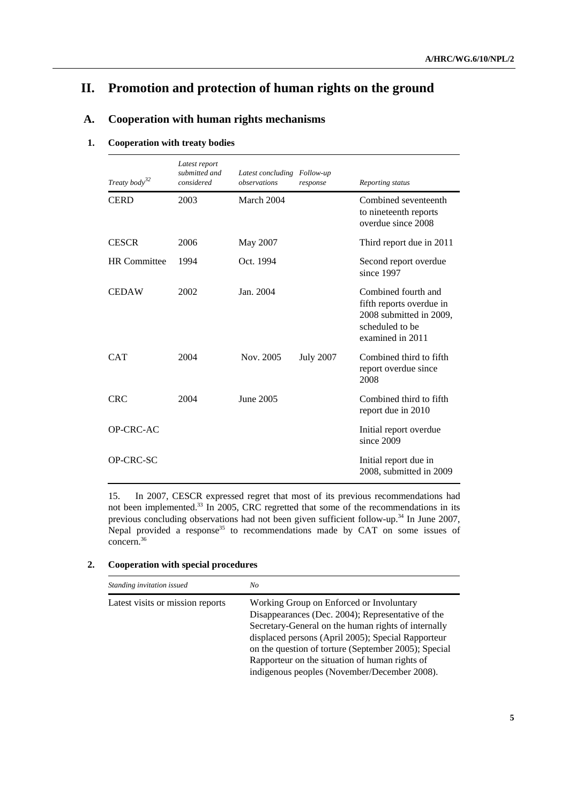# **II. Promotion and protection of human rights on the ground**

# **A. Cooperation with human rights mechanisms**

#### **1. Cooperation with treaty bodies**

| Treaty body <sup>32</sup> | Latest report<br>submitted and<br>considered | Latest concluding Follow-up<br>observations | response         | Reporting status                                                                                                  |
|---------------------------|----------------------------------------------|---------------------------------------------|------------------|-------------------------------------------------------------------------------------------------------------------|
| <b>CERD</b>               | 2003                                         | March 2004                                  |                  | Combined seventeenth<br>to nineteenth reports<br>overdue since 2008                                               |
| <b>CESCR</b>              | 2006                                         | May 2007                                    |                  | Third report due in 2011                                                                                          |
| <b>HR</b> Committee       | 1994                                         | Oct. 1994                                   |                  | Second report overdue<br>since 1997                                                                               |
| <b>CEDAW</b>              | 2002                                         | Jan. 2004                                   |                  | Combined fourth and<br>fifth reports overdue in<br>2008 submitted in 2009,<br>scheduled to be<br>examined in 2011 |
| <b>CAT</b>                | 2004                                         | Nov. 2005                                   | <b>July 2007</b> | Combined third to fifth<br>report overdue since<br>2008                                                           |
| <b>CRC</b>                | 2004                                         | June 2005                                   |                  | Combined third to fifth<br>report due in 2010                                                                     |
| OP-CRC-AC                 |                                              |                                             |                  | Initial report overdue<br>since 2009                                                                              |
| OP-CRC-SC                 |                                              |                                             |                  | Initial report due in<br>2008, submitted in 2009                                                                  |

15. In 2007, CESCR expressed regret that most of its previous recommendations had not been implemented.<sup>33</sup> In 2005, CRC regretted that some of the recommendations in its previous concluding observations had not been given sufficient follow-up.<sup>34</sup> In June 2007, Nepal provided a response<sup>35</sup> to recommendations made by CAT on some issues of concern.36

### **2. Cooperation with special procedures**

| Standing invitation issued       | No                                                                                                                                                                                                                                                                                                                                                                   |
|----------------------------------|----------------------------------------------------------------------------------------------------------------------------------------------------------------------------------------------------------------------------------------------------------------------------------------------------------------------------------------------------------------------|
| Latest visits or mission reports | Working Group on Enforced or Involuntary<br>Disappearances (Dec. 2004); Representative of the<br>Secretary-General on the human rights of internally<br>displaced persons (April 2005); Special Rapporteur<br>on the question of torture (September 2005); Special<br>Rapporteur on the situation of human rights of<br>indigenous peoples (November/December 2008). |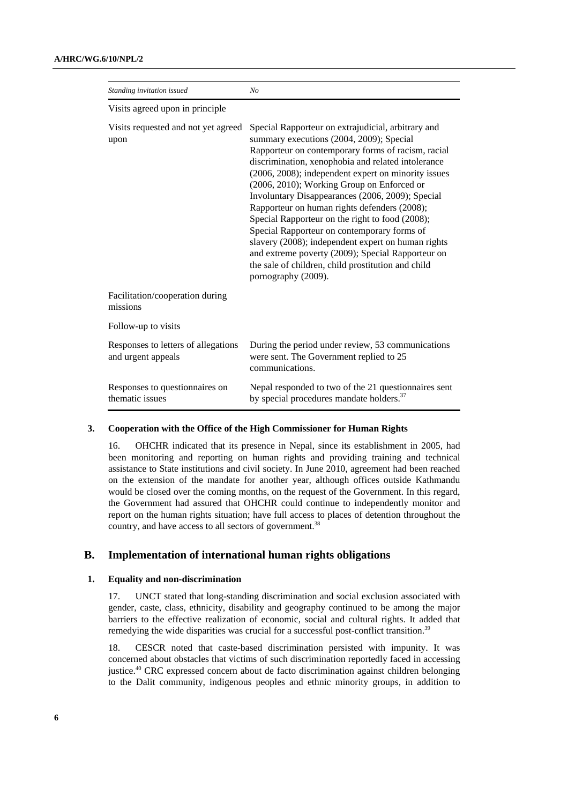| Standing invitation issued                                | N <sub>O</sub>                                                                                                                                                                                                                                                                                                                                                                                                                                                                                                                                                                                                                                                                                                |
|-----------------------------------------------------------|---------------------------------------------------------------------------------------------------------------------------------------------------------------------------------------------------------------------------------------------------------------------------------------------------------------------------------------------------------------------------------------------------------------------------------------------------------------------------------------------------------------------------------------------------------------------------------------------------------------------------------------------------------------------------------------------------------------|
| Visits agreed upon in principle                           |                                                                                                                                                                                                                                                                                                                                                                                                                                                                                                                                                                                                                                                                                                               |
| Visits requested and not yet agreed<br>upon               | Special Rapporteur on extrajudicial, arbitrary and<br>summary executions (2004, 2009); Special<br>Rapporteur on contemporary forms of racism, racial<br>discrimination, xenophobia and related intolerance<br>(2006, 2008); independent expert on minority issues<br>(2006, 2010); Working Group on Enforced or<br>Involuntary Disappearances (2006, 2009); Special<br>Rapporteur on human rights defenders (2008);<br>Special Rapporteur on the right to food (2008);<br>Special Rapporteur on contemporary forms of<br>slavery (2008); independent expert on human rights<br>and extreme poverty (2009); Special Rapporteur on<br>the sale of children, child prostitution and child<br>pornography (2009). |
| Facilitation/cooperation during<br>missions               |                                                                                                                                                                                                                                                                                                                                                                                                                                                                                                                                                                                                                                                                                                               |
| Follow-up to visits                                       |                                                                                                                                                                                                                                                                                                                                                                                                                                                                                                                                                                                                                                                                                                               |
| Responses to letters of allegations<br>and urgent appeals | During the period under review, 53 communications<br>were sent. The Government replied to 25<br>communications.                                                                                                                                                                                                                                                                                                                                                                                                                                                                                                                                                                                               |
| Responses to question aires on<br>thematic issues         | Nepal responded to two of the 21 questionnaires sent<br>by special procedures mandate holders. <sup>37</sup>                                                                                                                                                                                                                                                                                                                                                                                                                                                                                                                                                                                                  |

#### **3. Cooperation with the Office of the High Commissioner for Human Rights**

16. OHCHR indicated that its presence in Nepal, since its establishment in 2005, had been monitoring and reporting on human rights and providing training and technical assistance to State institutions and civil society. In June 2010, agreement had been reached on the extension of the mandate for another year, although offices outside Kathmandu would be closed over the coming months, on the request of the Government. In this regard, the Government had assured that OHCHR could continue to independently monitor and report on the human rights situation; have full access to places of detention throughout the country, and have access to all sectors of government.<sup>38</sup>

### **B. Implementation of international human rights obligations**

#### **1. Equality and non-discrimination**

17. UNCT stated that long-standing discrimination and social exclusion associated with gender, caste, class, ethnicity, disability and geography continued to be among the major barriers to the effective realization of economic, social and cultural rights. It added that remedying the wide disparities was crucial for a successful post-conflict transition.<sup>39</sup>

18. CESCR noted that caste-based discrimination persisted with impunity. It was concerned about obstacles that victims of such discrimination reportedly faced in accessing justice.40 CRC expressed concern about de facto discrimination against children belonging to the Dalit community, indigenous peoples and ethnic minority groups, in addition to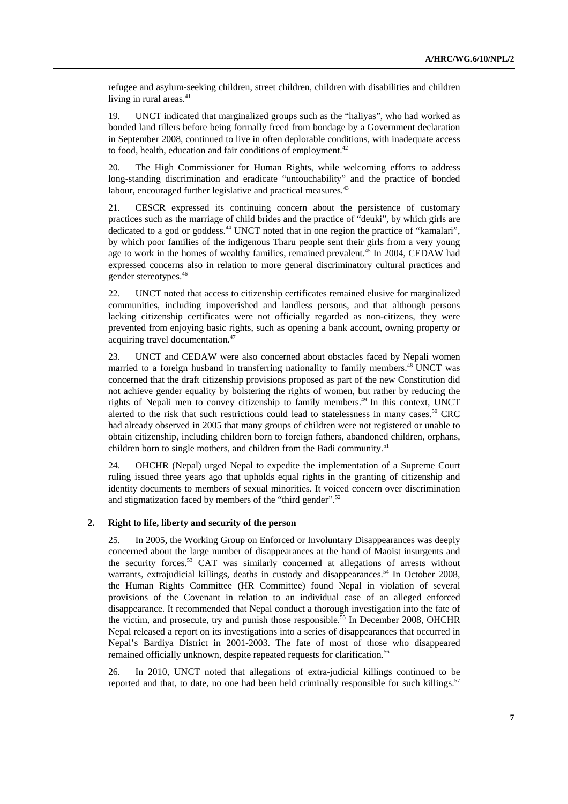refugee and asylum-seeking children, street children, children with disabilities and children living in rural areas. $41$ 

19. UNCT indicated that marginalized groups such as the "haliyas", who had worked as bonded land tillers before being formally freed from bondage by a Government declaration in September 2008, continued to live in often deplorable conditions, with inadequate access to food, health, education and fair conditions of employment.<sup>42</sup>

20. The High Commissioner for Human Rights, while welcoming efforts to address long-standing discrimination and eradicate "untouchability" and the practice of bonded labour, encouraged further legislative and practical measures.<sup>43</sup>

21. CESCR expressed its continuing concern about the persistence of customary practices such as the marriage of child brides and the practice of "deuki", by which girls are dedicated to a god or goddess.44 UNCT noted that in one region the practice of "kamalari", by which poor families of the indigenous Tharu people sent their girls from a very young age to work in the homes of wealthy families, remained prevalent.<sup>45</sup> In 2004, CEDAW had expressed concerns also in relation to more general discriminatory cultural practices and gender stereotypes.46

22. UNCT noted that access to citizenship certificates remained elusive for marginalized communities, including impoverished and landless persons, and that although persons lacking citizenship certificates were not officially regarded as non-citizens, they were prevented from enjoying basic rights, such as opening a bank account, owning property or acquiring travel documentation.<sup>47</sup>

23. UNCT and CEDAW were also concerned about obstacles faced by Nepali women married to a foreign husband in transferring nationality to family members.<sup>48</sup> UNCT was concerned that the draft citizenship provisions proposed as part of the new Constitution did not achieve gender equality by bolstering the rights of women, but rather by reducing the rights of Nepali men to convey citizenship to family members.<sup>49</sup> In this context, UNCT alerted to the risk that such restrictions could lead to statelessness in many cases.<sup>50</sup> CRC had already observed in 2005 that many groups of children were not registered or unable to obtain citizenship, including children born to foreign fathers, abandoned children, orphans, children born to single mothers, and children from the Badi community.<sup>51</sup>

24. OHCHR (Nepal) urged Nepal to expedite the implementation of a Supreme Court ruling issued three years ago that upholds equal rights in the granting of citizenship and identity documents to members of sexual minorities. It voiced concern over discrimination and stigmatization faced by members of the "third gender".<sup>52</sup>

#### **2. Right to life, liberty and security of the person**

25. In 2005, the Working Group on Enforced or Involuntary Disappearances was deeply concerned about the large number of disappearances at the hand of Maoist insurgents and the security forces.<sup>53</sup> CAT was similarly concerned at allegations of arrests without warrants, extrajudicial killings, deaths in custody and disappearances.<sup>54</sup> In October 2008, the Human Rights Committee (HR Committee) found Nepal in violation of several provisions of the Covenant in relation to an individual case of an alleged enforced disappearance. It recommended that Nepal conduct a thorough investigation into the fate of the victim, and prosecute, try and punish those responsible.<sup>55</sup> In December 2008, OHCHR Nepal released a report on its investigations into a series of disappearances that occurred in Nepal's Bardiya District in 2001-2003. The fate of most of those who disappeared remained officially unknown, despite repeated requests for clarification.<sup>56</sup>

26. In 2010, UNCT noted that allegations of extra-judicial killings continued to be reported and that, to date, no one had been held criminally responsible for such killings.<sup>57</sup>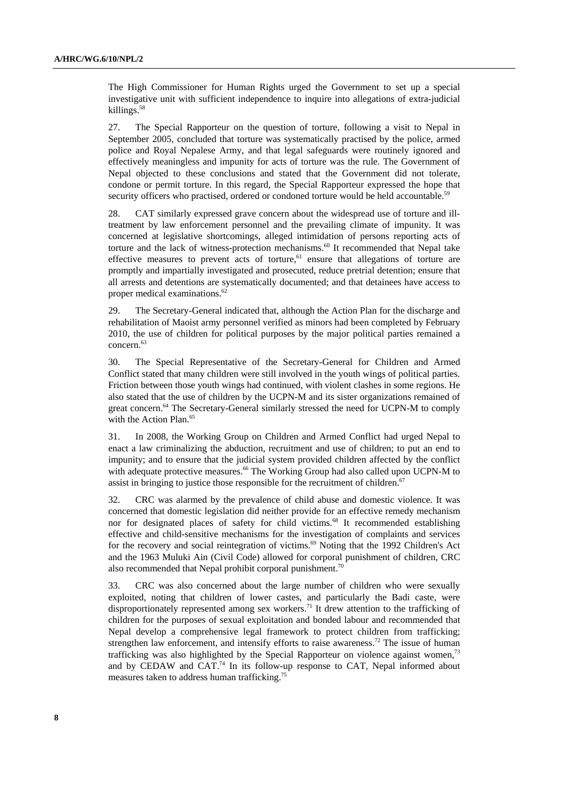The High Commissioner for Human Rights urged the Government to set up a special investigative unit with sufficient independence to inquire into allegations of extra-judicial killings.58

27. The Special Rapporteur on the question of torture, following a visit to Nepal in September 2005, concluded that torture was systematically practised by the police, armed police and Royal Nepalese Army, and that legal safeguards were routinely ignored and effectively meaningless and impunity for acts of torture was the rule. The Government of Nepal objected to these conclusions and stated that the Government did not tolerate, condone or permit torture. In this regard, the Special Rapporteur expressed the hope that security officers who practised, ordered or condoned torture would be held accountable.<sup>59</sup>

28. CAT similarly expressed grave concern about the widespread use of torture and illtreatment by law enforcement personnel and the prevailing climate of impunity. It was concerned at legislative shortcomings, alleged intimidation of persons reporting acts of torture and the lack of witness-protection mechanisms.<sup>60</sup> It recommended that Nepal take effective measures to prevent acts of torture, $61$  ensure that allegations of torture are promptly and impartially investigated and prosecuted, reduce pretrial detention; ensure that all arrests and detentions are systematically documented; and that detainees have access to proper medical examinations.<sup>62</sup>

29. The Secretary-General indicated that, although the Action Plan for the discharge and rehabilitation of Maoist army personnel verified as minors had been completed by February 2010, the use of children for political purposes by the major political parties remained a concern.<sup>63</sup>

30. The Special Representative of the Secretary-General for Children and Armed Conflict stated that many children were still involved in the youth wings of political parties. Friction between those youth wings had continued, with violent clashes in some regions. He also stated that the use of children by the UCPN-M and its sister organizations remained of great concern.<sup>64</sup> The Secretary-General similarly stressed the need for UCPN-M to comply with the Action Plan.<sup>65</sup>

31. In 2008, the Working Group on Children and Armed Conflict had urged Nepal to enact a law criminalizing the abduction, recruitment and use of children; to put an end to impunity; and to ensure that the judicial system provided children affected by the conflict with adequate protective measures.<sup>66</sup> The Working Group had also called upon UCPN-M to assist in bringing to justice those responsible for the recruitment of children.<sup>67</sup>

32. CRC was alarmed by the prevalence of child abuse and domestic violence. It was concerned that domestic legislation did neither provide for an effective remedy mechanism nor for designated places of safety for child victims.<sup>68</sup> It recommended establishing effective and child-sensitive mechanisms for the investigation of complaints and services for the recovery and social reintegration of victims.<sup>69</sup> Noting that the 1992 Children's Act and the 1963 Muluki Ain (Civil Code) allowed for corporal punishment of children, CRC also recommended that Nepal prohibit corporal punishment.<sup>70</sup>

33. CRC was also concerned about the large number of children who were sexually exploited, noting that children of lower castes, and particularly the Badi caste, were disproportionately represented among sex workers.<sup>71</sup> It drew attention to the trafficking of children for the purposes of sexual exploitation and bonded labour and recommended that Nepal develop a comprehensive legal framework to protect children from trafficking; strengthen law enforcement, and intensify efforts to raise awareness.<sup>72</sup> The issue of human trafficking was also highlighted by the Special Rapporteur on violence against women,<sup>73</sup> and by CEDAW and CAT.<sup>74</sup> In its follow-up response to CAT, Nepal informed about measures taken to address human trafficking.75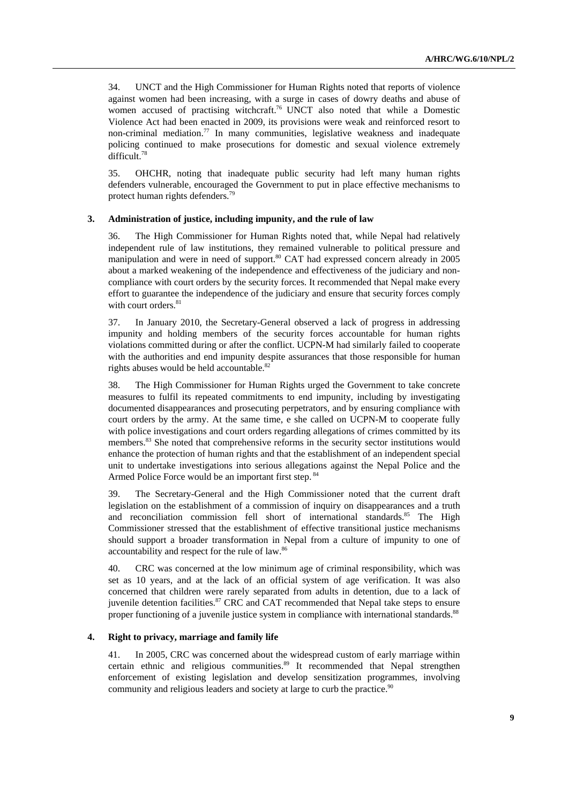34. UNCT and the High Commissioner for Human Rights noted that reports of violence against women had been increasing, with a surge in cases of dowry deaths and abuse of women accused of practising witchcraft.<sup>76</sup> UNCT also noted that while a Domestic Violence Act had been enacted in 2009, its provisions were weak and reinforced resort to non-criminal mediation.<sup>77</sup> In many communities, legislative weakness and inadequate policing continued to make prosecutions for domestic and sexual violence extremely difficult.78

35. OHCHR, noting that inadequate public security had left many human rights defenders vulnerable, encouraged the Government to put in place effective mechanisms to protect human rights defenders.79

#### **3. Administration of justice, including impunity, and the rule of law**

36. The High Commissioner for Human Rights noted that, while Nepal had relatively independent rule of law institutions, they remained vulnerable to political pressure and manipulation and were in need of support.<sup>80</sup> CAT had expressed concern already in 2005 about a marked weakening of the independence and effectiveness of the judiciary and noncompliance with court orders by the security forces. It recommended that Nepal make every effort to guarantee the independence of the judiciary and ensure that security forces comply with court orders.<sup>81</sup>

37. In January 2010, the Secretary-General observed a lack of progress in addressing impunity and holding members of the security forces accountable for human rights violations committed during or after the conflict. UCPN-M had similarly failed to cooperate with the authorities and end impunity despite assurances that those responsible for human rights abuses would be held accountable.<sup>82</sup>

38. The High Commissioner for Human Rights urged the Government to take concrete measures to fulfil its repeated commitments to end impunity, including by investigating documented disappearances and prosecuting perpetrators, and by ensuring compliance with court orders by the army. At the same time, e she called on UCPN-M to cooperate fully with police investigations and court orders regarding allegations of crimes committed by its members.<sup>83</sup> She noted that comprehensive reforms in the security sector institutions would enhance the protection of human rights and that the establishment of an independent special unit to undertake investigations into serious allegations against the Nepal Police and the Armed Police Force would be an important first step. <sup>84</sup>

39. The Secretary-General and the High Commissioner noted that the current draft legislation on the establishment of a commission of inquiry on disappearances and a truth and reconciliation commission fell short of international standards.<sup>85</sup> The High Commissioner stressed that the establishment of effective transitional justice mechanisms should support a broader transformation in Nepal from a culture of impunity to one of accountability and respect for the rule of law.86

40. CRC was concerned at the low minimum age of criminal responsibility, which was set as 10 years, and at the lack of an official system of age verification. It was also concerned that children were rarely separated from adults in detention, due to a lack of juvenile detention facilities. ${}^{87}$  CRC and CAT recommended that Nepal take steps to ensure proper functioning of a juvenile justice system in compliance with international standards.<sup>88</sup>

#### **4. Right to privacy, marriage and family life**

41. In 2005, CRC was concerned about the widespread custom of early marriage within certain ethnic and religious communities.<sup>89</sup> It recommended that Nepal strengthen enforcement of existing legislation and develop sensitization programmes, involving community and religious leaders and society at large to curb the practice.<sup>90</sup>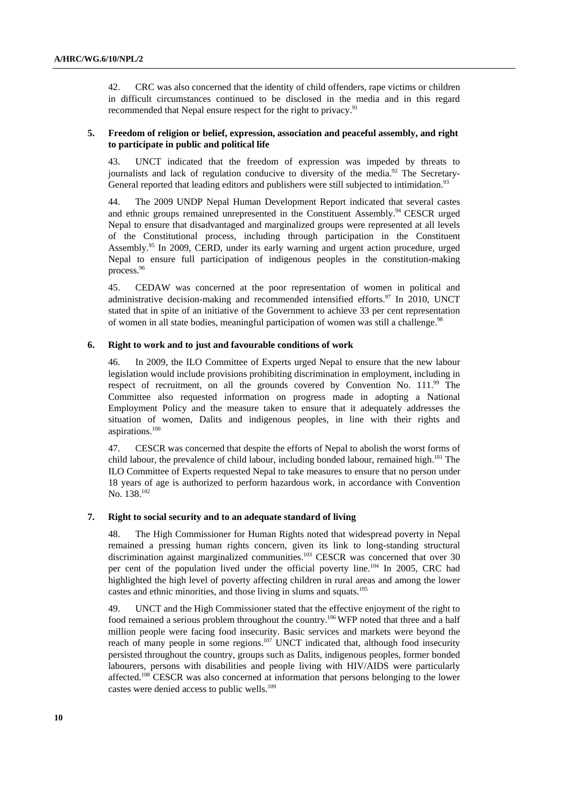42. CRC was also concerned that the identity of child offenders, rape victims or children in difficult circumstances continued to be disclosed in the media and in this regard recommended that Nepal ensure respect for the right to privacy.<sup>91</sup>

#### **5. Freedom of religion or belief, expression, association and peaceful assembly, and right to participate in public and political life**

43. UNCT indicated that the freedom of expression was impeded by threats to journalists and lack of regulation conducive to diversity of the media.<sup>92</sup> The Secretary-General reported that leading editors and publishers were still subjected to intimidation.<sup>93</sup>

44. The 2009 UNDP Nepal Human Development Report indicated that several castes and ethnic groups remained unrepresented in the Constituent Assembly.<sup>94</sup> CESCR urged Nepal to ensure that disadvantaged and marginalized groups were represented at all levels of the Constitutional process, including through participation in the Constituent Assembly.<sup>95</sup> In 2009, CERD, under its early warning and urgent action procedure, urged Nepal to ensure full participation of indigenous peoples in the constitution-making process.<sup>96</sup>

45. CEDAW was concerned at the poor representation of women in political and administrative decision-making and recommended intensified efforts. $97$  In 2010, UNCT stated that in spite of an initiative of the Government to achieve 33 per cent representation of women in all state bodies, meaningful participation of women was still a challenge.<sup>98</sup>

#### **6. Right to work and to just and favourable conditions of work**

46. In 2009, the ILO Committee of Experts urged Nepal to ensure that the new labour legislation would include provisions prohibiting discrimination in employment, including in respect of recruitment, on all the grounds covered by Convention No. 111.<sup>99</sup> The Committee also requested information on progress made in adopting a National Employment Policy and the measure taken to ensure that it adequately addresses the situation of women, Dalits and indigenous peoples, in line with their rights and aspirations.100

47. CESCR was concerned that despite the efforts of Nepal to abolish the worst forms of child labour, the prevalence of child labour, including bonded labour, remained high.<sup>101</sup> The ILO Committee of Experts requested Nepal to take measures to ensure that no person under 18 years of age is authorized to perform hazardous work, in accordance with Convention No. 138.<sup>102</sup>

#### **7. Right to social security and to an adequate standard of living**

48. The High Commissioner for Human Rights noted that widespread poverty in Nepal remained a pressing human rights concern, given its link to long-standing structural discrimination against marginalized communities.<sup>103</sup> CESCR was concerned that over 30 per cent of the population lived under the official poverty line.104 In 2005, CRC had highlighted the high level of poverty affecting children in rural areas and among the lower castes and ethnic minorities, and those living in slums and squats.105

49. UNCT and the High Commissioner stated that the effective enjoyment of the right to food remained a serious problem throughout the country.106 WFP noted that three and a half million people were facing food insecurity. Basic services and markets were beyond the reach of many people in some regions.<sup>107</sup> UNCT indicated that, although food insecurity persisted throughout the country, groups such as Dalits, indigenous peoples, former bonded labourers, persons with disabilities and people living with HIV/AIDS were particularly affected.108 CESCR was also concerned at information that persons belonging to the lower castes were denied access to public wells.<sup>109</sup>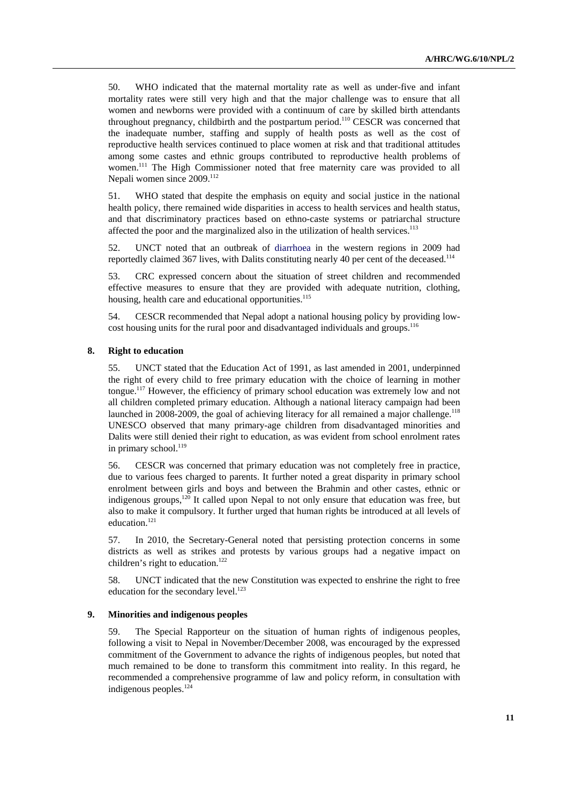50. WHO indicated that the maternal mortality rate as well as under-five and infant mortality rates were still very high and that the major challenge was to ensure that all women and newborns were provided with a continuum of care by skilled birth attendants throughout pregnancy, childbirth and the postpartum period.<sup>110</sup> CESCR was concerned that the inadequate number, staffing and supply of health posts as well as the cost of reproductive health services continued to place women at risk and that traditional attitudes among some castes and ethnic groups contributed to reproductive health problems of women.<sup>111</sup> The High Commissioner noted that free maternity care was provided to all Nepali women since 2009.<sup>112</sup>

51. WHO stated that despite the emphasis on equity and social justice in the national health policy, there remained wide disparities in access to health services and health status, and that discriminatory practices based on ethno-caste systems or patriarchal structure affected the poor and the marginalized also in the utilization of health services.<sup>113</sup>

52. UNCT noted that an outbreak of diarrhoea in the western regions in 2009 had reportedly claimed 367 lives, with Dalits constituting nearly 40 per cent of the deceased.<sup>114</sup>

53. CRC expressed concern about the situation of street children and recommended effective measures to ensure that they are provided with adequate nutrition, clothing, housing, health care and educational opportunities.<sup>115</sup>

54. CESCR recommended that Nepal adopt a national housing policy by providing lowcost housing units for the rural poor and disadvantaged individuals and groups.<sup>116</sup>

#### **8. Right to education**

55. UNCT stated that the Education Act of 1991, as last amended in 2001, underpinned the right of every child to free primary education with the choice of learning in mother tongue.117 However, the efficiency of primary school education was extremely low and not all children completed primary education. Although a national literacy campaign had been launched in  $2008-2009$ , the goal of achieving literacy for all remained a major challenge.<sup>118</sup> UNESCO observed that many primary-age children from disadvantaged minorities and Dalits were still denied their right to education, as was evident from school enrolment rates in primary school.<sup>119</sup>

56. CESCR was concerned that primary education was not completely free in practice, due to various fees charged to parents. It further noted a great disparity in primary school enrolment between girls and boys and between the Brahmin and other castes, ethnic or indigenous groups,<sup>120</sup> It called upon Nepal to not only ensure that education was free, but also to make it compulsory. It further urged that human rights be introduced at all levels of education.<sup>121</sup>

57. In 2010, the Secretary-General noted that persisting protection concerns in some districts as well as strikes and protests by various groups had a negative impact on children's right to education.<sup>122</sup>

58. UNCT indicated that the new Constitution was expected to enshrine the right to free education for the secondary level.<sup>123</sup>

#### **9. Minorities and indigenous peoples**

59. The Special Rapporteur on the situation of human rights of indigenous peoples, following a visit to Nepal in November/December 2008, was encouraged by the expressed commitment of the Government to advance the rights of indigenous peoples, but noted that much remained to be done to transform this commitment into reality. In this regard, he recommended a comprehensive programme of law and policy reform, in consultation with indigenous peoples.124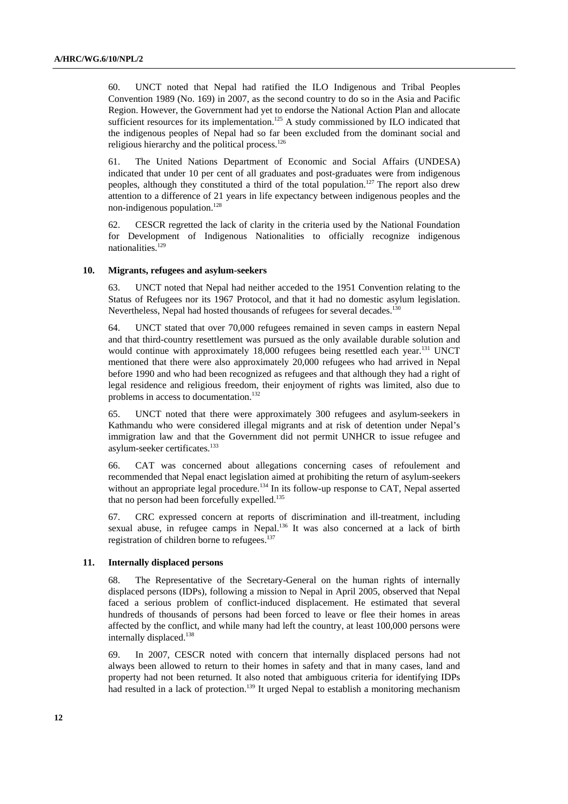60. UNCT noted that Nepal had ratified the ILO Indigenous and Tribal Peoples Convention 1989 (No. 169) in 2007, as the second country to do so in the Asia and Pacific Region. However, the Government had yet to endorse the National Action Plan and allocate sufficient resources for its implementation.<sup>125</sup> A study commissioned by ILO indicated that the indigenous peoples of Nepal had so far been excluded from the dominant social and religious hierarchy and the political process.<sup>126</sup>

61. The United Nations Department of Economic and Social Affairs (UNDESA) indicated that under 10 per cent of all graduates and post-graduates were from indigenous peoples, although they constituted a third of the total population.127 The report also drew attention to a difference of 21 years in life expectancy between indigenous peoples and the non-indigenous population. $128$ 

62. CESCR regretted the lack of clarity in the criteria used by the National Foundation for Development of Indigenous Nationalities to officially recognize indigenous nationalities.<sup>129</sup>

#### **10. Migrants, refugees and asylum-seekers**

63. UNCT noted that Nepal had neither acceded to the 1951 Convention relating to the Status of Refugees nor its 1967 Protocol, and that it had no domestic asylum legislation. Nevertheless, Nepal had hosted thousands of refugees for several decades.<sup>130</sup>

64. UNCT stated that over 70,000 refugees remained in seven camps in eastern Nepal and that third-country resettlement was pursued as the only available durable solution and would continue with approximately 18,000 refugees being resettled each year.<sup>131</sup> UNCT mentioned that there were also approximately 20,000 refugees who had arrived in Nepal before 1990 and who had been recognized as refugees and that although they had a right of legal residence and religious freedom, their enjoyment of rights was limited, also due to problems in access to documentation.<sup>132</sup>

65. UNCT noted that there were approximately 300 refugees and asylum-seekers in Kathmandu who were considered illegal migrants and at risk of detention under Nepal's immigration law and that the Government did not permit UNHCR to issue refugee and asylum-seeker certificates.<sup>133</sup>

66. CAT was concerned about allegations concerning cases of refoulement and recommended that Nepal enact legislation aimed at prohibiting the return of asylum-seekers without an appropriate legal procedure.<sup>134</sup> In its follow-up response to CAT, Nepal asserted that no person had been forcefully expelled.<sup>135</sup>

67. CRC expressed concern at reports of discrimination and ill-treatment, including sexual abuse, in refugee camps in Nepal.136 It was also concerned at a lack of birth registration of children borne to refugees.137

#### **11. Internally displaced persons**

68. The Representative of the Secretary-General on the human rights of internally displaced persons (IDPs), following a mission to Nepal in April 2005, observed that Nepal faced a serious problem of conflict-induced displacement. He estimated that several hundreds of thousands of persons had been forced to leave or flee their homes in areas affected by the conflict, and while many had left the country, at least 100,000 persons were internally displaced.<sup>138</sup>

69. In 2007, CESCR noted with concern that internally displaced persons had not always been allowed to return to their homes in safety and that in many cases, land and property had not been returned. It also noted that ambiguous criteria for identifying IDPs had resulted in a lack of protection.<sup>139</sup> It urged Nepal to establish a monitoring mechanism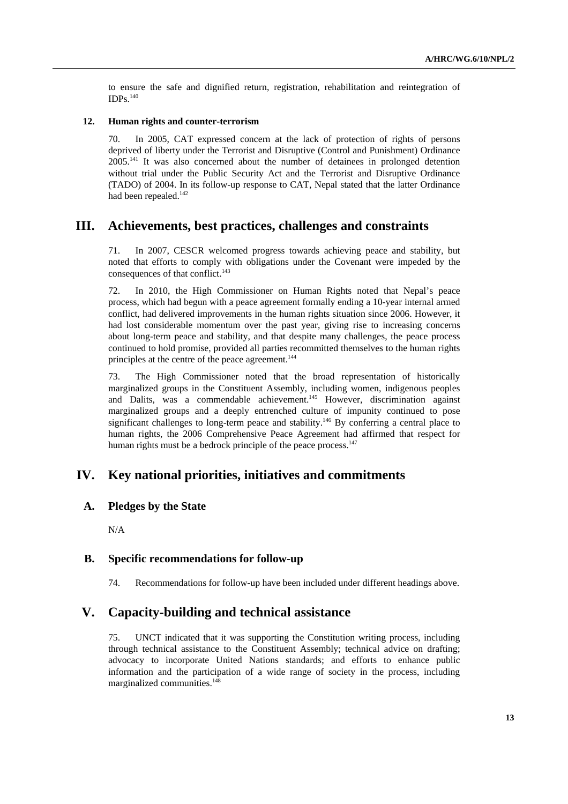to ensure the safe and dignified return, registration, rehabilitation and reintegration of  $IDPs.<sup>140</sup>$ 

#### **12. Human rights and counter-terrorism**

70. In 2005, CAT expressed concern at the lack of protection of rights of persons deprived of liberty under the Terrorist and Disruptive (Control and Punishment) Ordinance 2005.141 It was also concerned about the number of detainees in prolonged detention without trial under the Public Security Act and the Terrorist and Disruptive Ordinance (TADO) of 2004. In its follow-up response to CAT, Nepal stated that the latter Ordinance had been repealed.<sup>142</sup>

# **III. Achievements, best practices, challenges and constraints**

71. In 2007, CESCR welcomed progress towards achieving peace and stability, but noted that efforts to comply with obligations under the Covenant were impeded by the consequences of that conflict.<sup>143</sup>

72. In 2010, the High Commissioner on Human Rights noted that Nepal's peace process, which had begun with a peace agreement formally ending a 10-year internal armed conflict, had delivered improvements in the human rights situation since 2006. However, it had lost considerable momentum over the past year, giving rise to increasing concerns about long-term peace and stability, and that despite many challenges, the peace process continued to hold promise, provided all parties recommitted themselves to the human rights principles at the centre of the peace agreement.<sup>144</sup>

73. The High Commissioner noted that the broad representation of historically marginalized groups in the Constituent Assembly, including women, indigenous peoples and Dalits, was a commendable achievement.<sup>145</sup> However, discrimination against marginalized groups and a deeply entrenched culture of impunity continued to pose significant challenges to long-term peace and stability.<sup>146</sup> By conferring a central place to human rights, the 2006 Comprehensive Peace Agreement had affirmed that respect for human rights must be a bedrock principle of the peace process.<sup>147</sup>

# **IV. Key national priorities, initiatives and commitments**

## **A. Pledges by the State**

N/A

## **B. Specific recommendations for follow-up**

74. Recommendations for follow-up have been included under different headings above.

# **V. Capacity-building and technical assistance**

75. UNCT indicated that it was supporting the Constitution writing process, including through technical assistance to the Constituent Assembly; technical advice on drafting; advocacy to incorporate United Nations standards; and efforts to enhance public information and the participation of a wide range of society in the process, including marginalized communities.<sup>148</sup>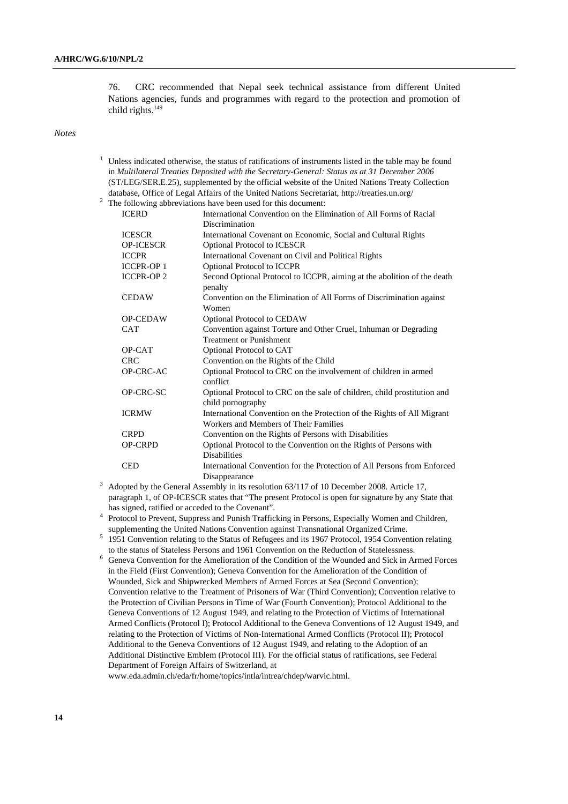1

76. CRC recommended that Nepal seek technical assistance from different United Nations agencies, funds and programmes with regard to the protection and promotion of child rights.149

#### *Notes*

|                                                                                                 | Unless indicated otherwise, the status of ratifications of instruments listed in the table may be found |                                                                                              |
|-------------------------------------------------------------------------------------------------|---------------------------------------------------------------------------------------------------------|----------------------------------------------------------------------------------------------|
|                                                                                                 |                                                                                                         | in Multilateral Treaties Deposited with the Secretary-General: Status as at 31 December 2006 |
| (ST/LEG/SER.E.25), supplemented by the official website of the United Nations Treaty Collection |                                                                                                         |                                                                                              |
|                                                                                                 |                                                                                                         | database, Office of Legal Affairs of the United Nations Secretariat, http://treaties.un.org/ |
| $\overline{c}$<br>The following abbreviations have been used for this document:                 |                                                                                                         |                                                                                              |
|                                                                                                 | <b>ICERD</b>                                                                                            | International Convention on the Elimination of All Forms of Racial                           |
|                                                                                                 |                                                                                                         | Discrimination                                                                               |
|                                                                                                 | <b>ICESCR</b>                                                                                           | International Covenant on Economic, Social and Cultural Rights                               |
|                                                                                                 | <b>OP-ICESCR</b>                                                                                        | Optional Protocol to ICESCR                                                                  |
|                                                                                                 | <b>ICCPR</b>                                                                                            | International Covenant on Civil and Political Rights                                         |
|                                                                                                 | <b>ICCPR-OP1</b>                                                                                        | Optional Protocol to ICCPR                                                                   |
|                                                                                                 | <b>ICCPR-OP2</b>                                                                                        | Second Optional Protocol to ICCPR, aiming at the abolition of the death                      |
|                                                                                                 |                                                                                                         | penalty                                                                                      |
|                                                                                                 | <b>CEDAW</b>                                                                                            | Convention on the Elimination of All Forms of Discrimination against                         |
|                                                                                                 |                                                                                                         | Women                                                                                        |
|                                                                                                 | <b>OP-CEDAW</b>                                                                                         | Optional Protocol to CEDAW                                                                   |
|                                                                                                 | <b>CAT</b>                                                                                              | Convention against Torture and Other Cruel, Inhuman or Degrading                             |
|                                                                                                 |                                                                                                         | <b>Treatment or Punishment</b>                                                               |
|                                                                                                 | OP-CAT                                                                                                  | Optional Protocol to CAT                                                                     |
|                                                                                                 | <b>CRC</b>                                                                                              | Convention on the Rights of the Child                                                        |
|                                                                                                 | OP-CRC-AC                                                                                               | Optional Protocol to CRC on the involvement of children in armed                             |
|                                                                                                 |                                                                                                         | conflict                                                                                     |
|                                                                                                 | OP-CRC-SC                                                                                               | Optional Protocol to CRC on the sale of children, child prostitution and                     |
|                                                                                                 |                                                                                                         | child pornography                                                                            |
|                                                                                                 | <b>ICRMW</b>                                                                                            | International Convention on the Protection of the Rights of All Migrant                      |
|                                                                                                 |                                                                                                         | Workers and Members of Their Families                                                        |
|                                                                                                 | <b>CRPD</b>                                                                                             | Convention on the Rights of Persons with Disabilities                                        |
|                                                                                                 | <b>OP-CRPD</b>                                                                                          | Optional Protocol to the Convention on the Rights of Persons with                            |
|                                                                                                 |                                                                                                         | <b>Disabilities</b>                                                                          |
|                                                                                                 | <b>CED</b>                                                                                              | International Convention for the Protection of All Persons from Enforced                     |
|                                                                                                 |                                                                                                         | Disappearance                                                                                |
|                                                                                                 |                                                                                                         | Adopted by the General Assembly in its resolution 63/117 of 10 December 2008. Article 17,    |

paragraph 1, of OP-ICESCR states that "The present Protocol is open for signature by any State that has signed, ratified or acceded to the Covenant". has signed, ratified or acceded to the Covenant".<br>
<sup>4</sup> Protocol to Prevent, Suppress and Punish Trafficking in Persons, Especially Women and Children,

supplementing the United Nations Convention against Transnational Organized Crime.<br>
<sup>5</sup> 1951 Convention relating to the Status of Refugees and its 1967 Protocol, 1954 Convention relating

- to the status of Stateless Persons and 1961 Convention on the Reduction of Statelessness.<br><sup>6</sup> Geneva Convention for the Amelioration of the Condition of the Wounded and Sick in Au
- Geneva Convention for the Amelioration of the Condition of the Wounded and Sick in Armed Forces in the Field (First Convention); Geneva Convention for the Amelioration of the Condition of Wounded, Sick and Shipwrecked Members of Armed Forces at Sea (Second Convention); Convention relative to the Treatment of Prisoners of War (Third Convention); Convention relative to the Protection of Civilian Persons in Time of War (Fourth Convention); Protocol Additional to the Geneva Conventions of 12 August 1949, and relating to the Protection of Victims of International Armed Conflicts (Protocol I); Protocol Additional to the Geneva Conventions of 12 August 1949, and relating to the Protection of Victims of Non-International Armed Conflicts (Protocol II); Protocol Additional to the Geneva Conventions of 12 August 1949, and relating to the Adoption of an Additional Distinctive Emblem (Protocol III). For the official status of ratifications, see Federal Department of Foreign Affairs of Switzerland, at

www.eda.admin.ch/eda/fr/home/topics/intla/intrea/chdep/warvic.html.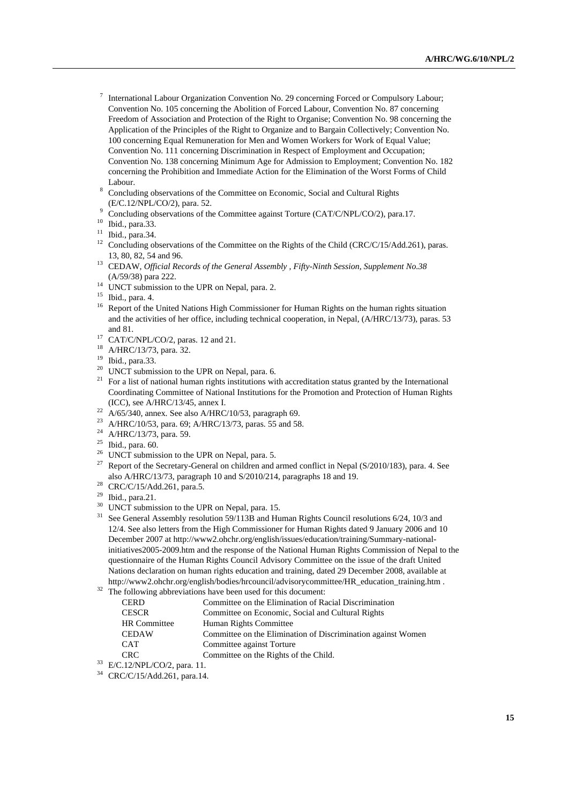- <sup>7</sup> International Labour Organization Convention No. 29 concerning Forced or Compulsory Labour; Convention No. 105 concerning the Abolition of Forced Labour, Convention No. 87 concerning Freedom of Association and Protection of the Right to Organise; Convention No. 98 concerning the Application of the Principles of the Right to Organize and to Bargain Collectively; Convention No. 100 concerning Equal Remuneration for Men and Women Workers for Work of Equal Value; Convention No. 111 concerning Discrimination in Respect of Employment and Occupation; Convention No. 138 concerning Minimum Age for Admission to Employment; Convention No. 182 concerning the Prohibition and Immediate Action for the Elimination of the Worst Forms of Child Labour.
- Concluding observations of the Committee on Economic, Social and Cultural Rights  $(E/C.12/NPL/CO/2)$ , para. 52.
- $\degree$  Concluding observations of the Committee against Torture (CAT/C/NPL/CO/2), para.17. Ibid., para.33.
- 
- $11$  Ibid., para.34.
- <sup>12</sup> Concluding observations of the Committee on the Rights of the Child (CRC/C/15/Add.261), paras. 13, 80, 82, 54 and 96. 13 CEDAW, *Official Records of the General Assembly , Fifty-Ninth Session, Supplement No.38*
- (A/59/38) para 222.<br><sup>14</sup> UNCT submission to the UPR on Nepal, para. 2.
- 

- <sup>16</sup> Report of the United Nations High Commissioner for Human Rights on the human rights situation and the activities of her office, including technical cooperation, in Nepal, (A/HRC/13/73), paras. 53
- and 81.<br><sup>17</sup> CAT/C/NPL/CO/2, paras. 12 and 21.<br><sup>18</sup> A/HRC/13/73, para.<sup>32</sup>
- A/HRC/13/73, para. 32.
- $19 \text{ Ibid., para.}$ 33.<br> $20 \text{ INACT submis.}$
- UNCT submission to the UPR on Nepal, para. 6.
- $21$  For a list of national human rights institutions with accreditation status granted by the International Coordinating Committee of National Institutions for the Promotion and Protection of Human Rights (ICC), see A/HRC/13/45, annex I.<br>
<sup>22</sup> A/65/340, annex. See also A/HRC/10/53, paragraph 69.<br>
<sup>23</sup> A/HRC/10/53, para. 69; A/HRC/13/73, paras. 55 and 58.<br>
<sup>24</sup> A/HRC/13/73, para. 59.
- 
- 
- 
- $25$  Ibid., para. 60.
- $26$  UNCT submission to the UPR on Nepal, para. 5.
- <sup>27</sup> Report of the Secretary-General on children and armed conflict in Nepal (S/2010/183), para. 4. See also A/HRC/13/73, paragraph 10 and S/2010/214, paragraphs 18 and 19. CRC/C/15/Add.261, para.5.
- 
- 29 Ibid., para.21.
- <sup>30</sup> UNCT submission to the UPR on Nepal, para. 15.
- <sup>31</sup> See General Assembly resolution 59/113B and Human Rights Council resolutions 6/24, 10/3 and 12/4. See also letters from the High Commissioner for Human Rights dated 9 January 2006 and 10 December 2007 at http://www2.ohchr.org/english/issues/education/training/Summary-nationalinitiatives2005-2009.htm and the response of the National Human Rights Commission of Nepal to the questionnaire of the Human Rights Council Advisory Committee on the issue of the draft United Nations declaration on human rights education and training, dated 29 December 2008, available at http://www2.ohchr.org/english/bodies/hrcouncil/advisorycommittee/HR\_education\_training.htm . 32 The following abbreviations have been used for this document:
- 

| <b>CERD</b>         | Committee on the Elimination of Racial Discrimination        |
|---------------------|--------------------------------------------------------------|
| <b>CESCR</b>        | Committee on Economic, Social and Cultural Rights            |
| <b>HR</b> Committee | Human Rights Committee                                       |
| <b>CEDAW</b>        | Committee on the Elimination of Discrimination against Women |
| <b>CAT</b>          | Committee against Torture                                    |
| CRC.                | Committee on the Rights of the Child.                        |

 $C<sub>12</sub>/NPL/CO/2$ , para. 11.

34 CRC/C/15/Add.261, para.14.

 $15$  Ibid., para. 4.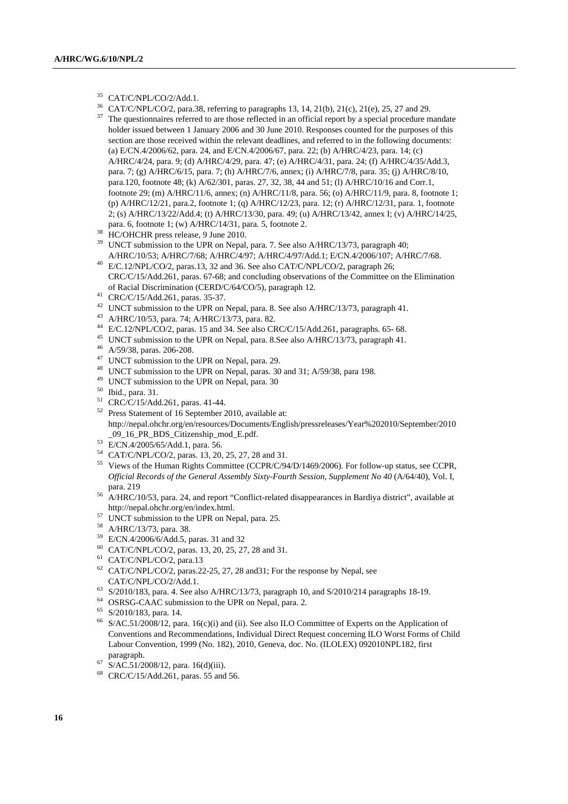- 35 CAT/C/NPL/CO/2/Add.1.
- 
- <sup>36</sup> CAT/C/NPL/CO/2, para.38, referring to paragraphs 13, 14, 21(b), 21(c), 21(e), 25, 27 and 29.<br><sup>37</sup> The questionnaires referred to are those reflected in an official report by a special procedure mandate holder issued between 1 January 2006 and 30 June 2010. Responses counted for the purposes of this section are those received within the relevant deadlines, and referred to in the following documents: (a) E/CN.4/2006/62, para. 24, and E/CN.4/2006/67, para. 22; (b) A/HRC/4/23, para. 14; (c) A/HRC/4/24, para. 9; (d) A/HRC/4/29, para. 47; (e) A/HRC/4/31, para. 24; (f) A/HRC/4/35/Add.3, para. 7; (g) A/HRC/6/15, para. 7; (h) A/HRC/7/6, annex; (i) A/HRC/7/8, para. 35; (j) A/HRC/8/10, para.120, footnote 48; (k) A/62/301, paras. 27, 32, 38, 44 and 51; (l) A/HRC/10/16 and Corr.1, footnote 29; (m) A/HRC/11/6, annex; (n) A/HRC/11/8, para. 56; (o) A/HRC/11/9, para. 8, footnote 1; (p) A/HRC/12/21, para.2, footnote 1; (q) A/HRC/12/23, para. 12; (r) A/HRC/12/31, para. 1, footnote 2; (s) A/HRC/13/22/Add.4; (t) A/HRC/13/30, para. 49; (u) A/HRC/13/42, annex I; (v) A/HRC/14/25, para. 6, footnote 1; (w) A/HRC/14/31, para. 5, footnote 2. 38 HC/OHCHR press release, 9 June 2010.
- 
- <sup>39</sup> UNCT submission to the UPR on Nepal, para. 7. See also A/HRC/13/73, paragraph 40; A/HRC/10/53; A/HRC/7/68; A/HRC/4/97; A/HRC/4/97/Add.1; E/CN.4/2006/107; A/HRC/7/68.<br><sup>40</sup> E/C.12/NPL/CO/2, paras.13, 32 and 36. See also CAT/C/NPL/CO/2, paragraph 26;
- CRC/C/15/Add.261, paras. 67-68; and concluding observations of the Committee on the Elimination of Racial Discrimination (CERD/C/64/CO/5), paragraph 12. 41 CRC/C/15/Add.261, paras. 35-37.
- 
- <sup>42</sup> UNCT submission to the UPR on Nepal, para. 8. See also A/HRC/13/73, paragraph 41.<br><sup>43</sup> A/HRC/10/53, para. 74; A/HRC/13/73, para. 82.<br><sup>44</sup> E/C.12/NPL/CO/2, paras. 15 and 34. See also CRC/C/15/Add.261, paragraphs. 65-
- 
- 
- <sup>45</sup> UNCT submission to the UPR on Nepal, para. 8. See also A/HRC/13/73, paragraph 41.  $46$  A/59/38, paras. 206-208.
- 
- <sup>47</sup> UNCT submission to the UPR on Nepal, para. 29.
- <sup>48</sup> UNCT submission to the UPR on Nepal, paras. 30 and 31; A/59/38, para 198.<br><sup>49</sup> UNCT submission to the UPR on Nepal, para. 30
- 
- 50 Ibid., para. 31.
- 51 CRC/C/15/Add.261, paras. 41-44.
- 52 Press Statement of 16 September 2010, available at: http://nepal.ohchr.org/en/resources/Documents/English/pressreleases/Year%202010/September/2010
- 
- \_09\_16\_PR\_BDS\_Citizenship\_mod\_E.pdf.<br>
<sup>53</sup> E/CN.4/2005/65/Add.1, para. 56.<br>
<sup>54</sup> CAT/C/NPL/CO/2, paras. 13, 20, 25, 27, 28 and 31.
- <sup>55</sup> Views of the Human Rights Committee (CCPR/C/94/D/1469/2006). For follow-up status, see CCPR, *Official Records of the General Assembly Sixty-Fourth Session, Supplement No 40 (A/64/40), Vol. I,*
- para. 219<br>56 A/HRC/10/53, para. 24, and report "Conflict-related disappearances in Bardiya district", available at<br>http://nepal.ohchr.org/en/index.html.
- $\frac{1}{27}$  UNCT submission to the UPR on Nepal, para. 25.
- 58 A/HRC/13/73, para. 38.
- 59 E/CN.4/2006/6/Add.5, paras. 31 and 32
- 60 CAT/C/NPL/CO/2, paras. 13, 20, 25, 27, 28 and 31. 61 CAT/C/NPL/CO/2, para.13
- 
- $62$  CAT/C/NPL/CO/2, paras.22-25, 27, 28 and 31; For the response by Nepal, see
- CAT/C/NPL/CO/2/Add.1.<br>
<sup>63</sup> S/2010/183, para. 4. See also A/HRC/13/73, paragraph 10, and S/2010/214 paragraphs 18-19.<br>
<sup>64</sup> OSRSG-CAAC submission to the UPR on Nepal, para. 2.
- 
- 65 S/2010/183, para. 14.
- 66 S/AC.51/2008/12, para. 16(c)(i) and (ii). See also ILO Committee of Experts on the Application of Conventions and Recommendations, Individual Direct Request concerning ILO Worst Forms of Child Labour Convention, 1999 (No. 182), 2010, Geneva, doc. No. (ILOLEX) 092010NPL182, first
- $^{67}$  S/AC.51/2008/12, para. 16(d)(iii).
- 68 CRC/C/15/Add.261, paras. 55 and 56.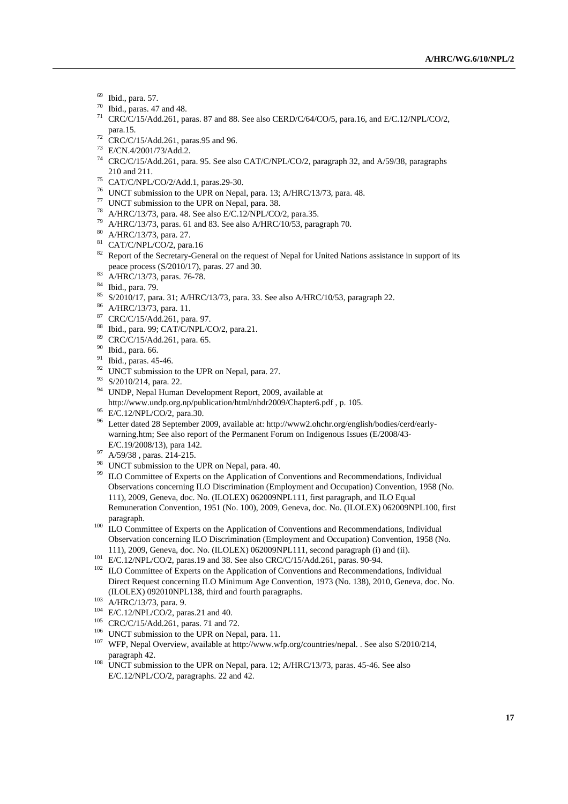- 69 Ibid., para. 57.
- $^{70}$  Ibid., paras. 47 and 48.
- 71 CRC/C/15/Add.261, paras. 87 and 88. See also CERD/C/64/CO/5, para.16, and E/C.12/NPL/CO/2, para.15. 72 CRC/C/15/Add.261, paras.95 and 96.
- 
- 73 E/CN.4/2001/73/Add.2.
- 74 CRC/C/15/Add.261, para. 95. See also CAT/C/NPL/CO/2, paragraph 32, and A/59/38, paragraphs 210 and 211. 75 CAT/C/NPL/CO/2/Add.1, paras.29-30.
- 
- <sup>76</sup> UNCT submission to the UPR on Nepal, para. 13; A/HRC/13/73, para. 48.<br><sup>77</sup> UNCT submission to the UPR on Nepal, para. 38.<br><sup>78</sup> A/HRC/13/73, para. 48. See also E/C.12/NPL/CO/2, para.35.
- 
- 
- <sup>79</sup> A/HRC/13/73, paras. 61 and 83. See also A/HRC/10/53, paragraph 70.  $\mu$ <sup>80</sup> A/HRC/13/73, para. 27.
- 
- 81 CAT/C/NPL/CO/2, para.16
- <sup>82</sup> Report of the Secretary-General on the request of Nepal for United Nations assistance in support of its peace process (S/2010/17), paras. 27 and 30.<br><sup>83</sup> A/HRC/13/73, paras. 76-78.
- 
- 84 Ibid., para. 79.
- 85 S/2010/17, para. 31; A/HRC/13/73, para. 33. See also A/HRC/10/53, paragraph 22. 86 A/HRC/13/73, para. 11.
- 
- 87 CRC/C/15/Add.261, para. 97.
- 88 Ibid., para. 99; CAT/C/NPL/CO/2, para.21.
- 89 CRC/C/15/Add.261, para. 65.
- 90 Ibid., para. 66.
- <sup>91</sup> Ibid., paras. 45-46.
- $92$  UNCT submission to the UPR on Nepal, para. 27.
- 93 S/2010/214, para. 22.
- 94 UNDP, Nepal Human Development Report, 2009, available at
- http://www.undp.org.np/publication/html/nhdr2009/Chapter6.pdf , p. 105. 95 E/C.12/NPL/CO/2, para.30.
- 
- 96 Letter dated 28 September 2009, available at: http://www2.ohchr.org/english/bodies/cerd/earlywarning.htm; See also report of the Permanent Forum on Indigenous Issues (E/2008/43-
- E/C.19/2008/13), para 142. 97 A/59/38 , paras. 214-215.
- 98 UNCT submission to the UPR on Nepal, para. 40.
- <sup>99</sup> ILO Committee of Experts on the Application of Conventions and Recommendations, Individual Observations concerning ILO Discrimination (Employment and Occupation) Convention, 1958 (No. 111), 2009, Geneva, doc. No. (ILOLEX) 062009NPL111, first paragraph, and ILO Equal Remuneration Convention, 1951 (No. 100), 2009, Geneva, doc. No. (ILOLEX) 062009NPL100, first
- paragraph.  $100$  ILO Committee of Experts on the Application of Conventions and Recommendations, Individual Observation concerning ILO Discrimination (Employment and Occupation) Convention, 1958 (No.
- 
- 111), 2009, Geneva, doc. No. (ILOLEX) 062009NPL111, second paragraph (i) and (ii).<br>  $E/C.12/NPL/CO/2$ , paras.19 and 38. See also CRC/C/15/Add.261, paras. 90-94.<br>  $102$  ILO Committee of Experts on the Application of Convention Direct Request concerning ILO Minimum Age Convention, 1973 (No. 138), 2010, Geneva, doc. No.
- 
- 
- 
- 
- (ILOLEX) 092010NPL138, third and fourth paragraphs.<br>
<sup>103</sup> A/HRC/13/73, para. 9.<br>
<sup>104</sup> E/C.12/NPL/CO/2, paras.21 and 40.<br>
<sup>105</sup> CRC/C/15/Add.261, paras. 71 and 72.<br>
<sup>106</sup> UNCT submission to the UPR on Nepal, para. 11.<br>
<sup></sup>
- $p_{\text{max}}$  UNCT submission to the UPR on Nepal, para. 12; A/HRC/13/73, paras. 45-46. See also E/C.12/NPL/CO/2, paragraphs. 22 and 42.